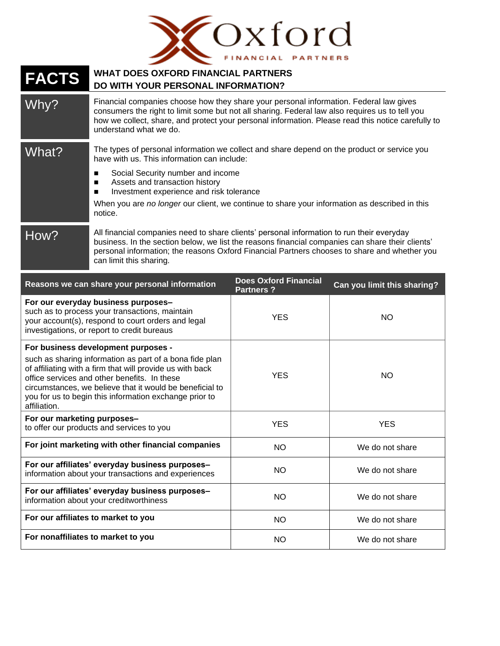

## **FACTS WHAT DOES OXFORD FINANCIAL PARTNERS DO WITH YOUR PERSONAL INFORMATION?** Why? Financial companies choose how they share your personal information. Federal law gives consumers the right to limit some but not all sharing. Federal law also requires us to tell you how we collect, share, and protect your personal information. Please read this notice carefully to understand what we do. What? The types of personal information we collect and share depend on the product or service you have with us. This information can include: ■ Social Security number and income ■ Assets and transaction history ■ Investment experience and risk tolerance When you are *no longer* our client, we continue to share your information as described in this notice. How? All financial companies need to share clients' personal information to run their everyday business. In the section below, we list the reasons financial companies can share their clients' personal information; the reasons Oxford Financial Partners chooses to share and whether you can limit this sharing. **Reasons we can share your personal information Does Oxford Financial Partners ? Can you limit this sharing? For our everyday business purposes–** such as to process your transactions, maintain your account(s), respond to court orders and legal investigations, or report to credit bureaus YES I NO **For business development purposes**  such as sharing information as part of a bona fide plan of affiliating with a firm that will provide us with back office services and other benefits. In these circumstances, we believe that it would be beneficial to you for us to begin this information exchange prior to affiliation. YES | NO **For our marketing purposes–** to offer our products and services to you NES WES Alternative Control of the VES YES **For joint marketing with other financial companies**  $\begin{bmatrix} 1 & 0 \\ 0 & 1 \end{bmatrix}$  We do not share **For our affiliates' everyday business purposes–** information about your transactions and experiences  $\begin{vmatrix} 1 & 1 & 1 \\ 1 & 1 & 1 \end{vmatrix}$  We do not share **For our affiliates' everyday business purposes–** information about your creditworthiness  $\begin{vmatrix} 1 & 1 & 1 \\ 1 & 1 & 1 \end{vmatrix}$  NO We do not share

**For our affiliates to market to you** NO NO We do not share

**For nonaffiliates to market to you** NO NO We do not share